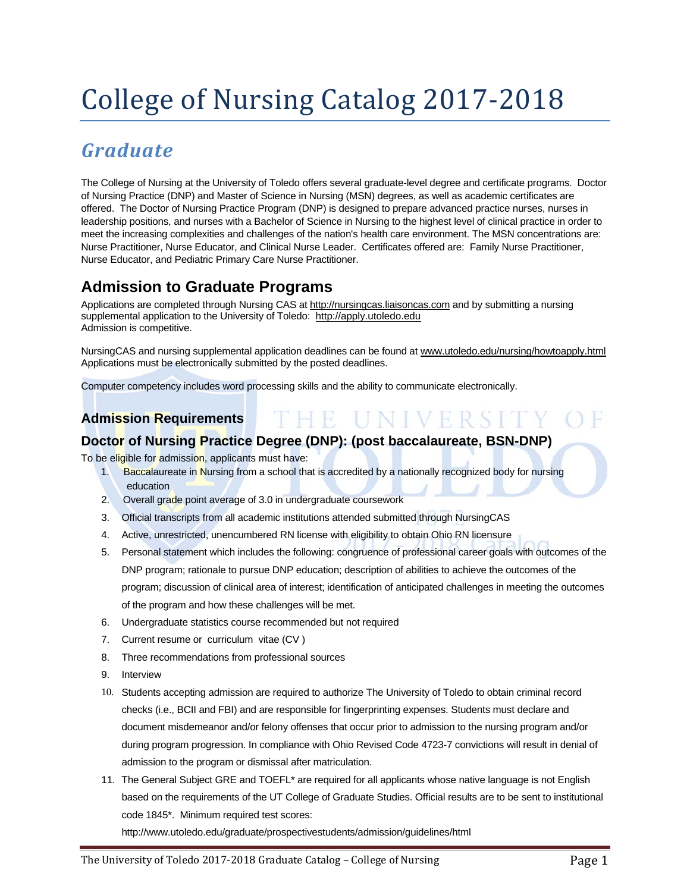# College of Nursing Catalog 2017-2018

# *Graduate*

The College of Nursing at the University of Toledo offers several graduate-level degree and certificate programs. Doctor of Nursing Practice (DNP) and Master of Science in Nursing (MSN) degrees, as well as academic certificates are offered. The Doctor of Nursing Practice Program (DNP) is designed to prepare advanced practice nurses, nurses in leadership positions, and nurses with a Bachelor of Science in Nursing to the highest level of clinical practice in order to meet the increasing complexities and challenges of the nation's health care environment. The MSN concentrations are: Nurse Practitioner, Nurse Educator, and Clinical Nurse Leader. Certificates offered are: Family Nurse Practitioner, Nurse Educator, and Pediatric Primary Care Nurse Practitioner.

# **Admission to Graduate Programs**

Applications are completed through Nursing CAS at http://nursingcas.liaisoncas.com and by submitting a nursing supplemental application to the University of Toledo: http://apply.utoledo.edu Admission is competitive.

NursingCAS and nursing supplemental application deadlines can be found at www.utoledo.edu/nursing/howtoapply.html Applications must be electronically submitted by the posted deadlines.

E UNIVERSITY OF

Computer competency includes word processing skills and the ability to communicate electronically.

# **Admission Requirements**

# **Doctor of Nursing Practice Degree (DNP): (post baccalaureate, BSN-DNP)**

To be eligible for admission, applicants must have:

- 1. Baccalaureate in Nursing from a school that is accredited by a nationally recognized body for nursing education
- 2. Overall grade point average of 3.0 in undergraduate coursework
- 3. Official transcripts from all academic institutions attended submitted through NursingCAS
- 4. Active, unrestricted, unencumbered RN license with eligibility to obtain Ohio RN licensure
- 5. Personal statement which includes the following: congruence of professional career goals with outcomes of the DNP program; rationale to pursue DNP education; description of abilities to achieve the outcomes of the program; discussion of clinical area of interest; identification of anticipated challenges in meeting the outcomes of the program and how these challenges will be met.
- 6. Undergraduate statistics course recommended but not required
- 7. Current resume or curriculum vitae (CV )
- 8. Three recommendations from professional sources
- 9. Interview
- 10. Students accepting admission are required to authorize The University of Toledo to obtain criminal record checks (i.e., BCII and FBI) and are responsible for fingerprinting expenses. Students must declare and document misdemeanor and/or felony offenses that occur prior to admission to the nursing program and/or during program progression. In compliance with Ohio Revised Code 4723-7 convictions will result in denial of admission to the program or dismissal after matriculation.
- 11. The General Subject GRE and TOEFL\* are required for all applicants whose native language is not English based on the requirements of the UT College of Graduate Studies. Official results are to be sent to institutional code 1845\*. Minimum required test scores:

http://www.utoledo.edu/graduate/prospectivestudents/admission/guidelines/html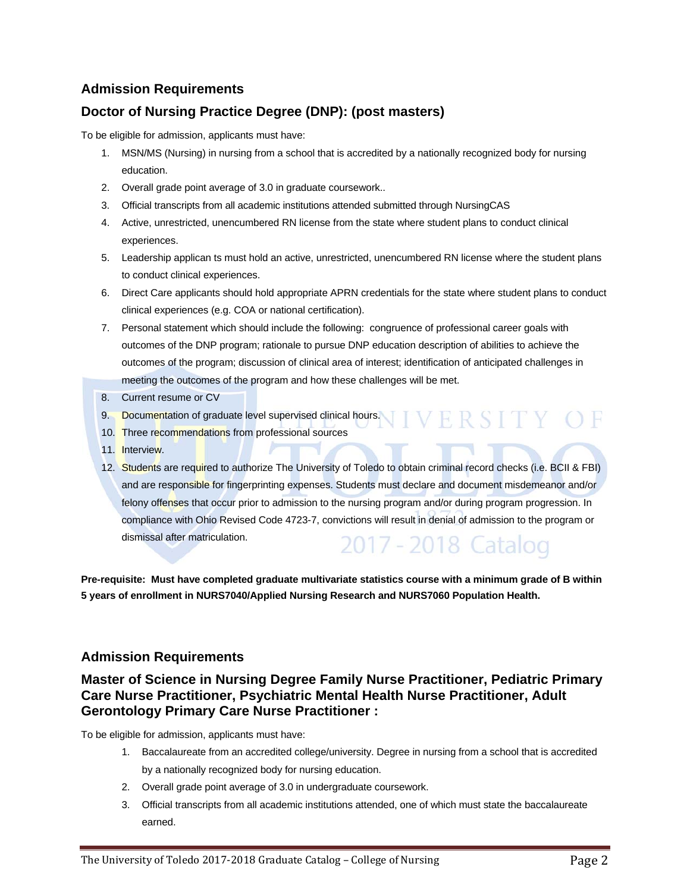# **Doctor of Nursing Practice Degree (DNP): (post masters)**

To be eligible for admission, applicants must have:

- 1. MSN/MS (Nursing) in nursing from a school that is accredited by a nationally recognized body for nursing education.
- 2. Overall grade point average of 3.0 in graduate coursework..
- 3. Official transcripts from all academic institutions attended submitted through NursingCAS
- 4. Active, unrestricted, unencumbered RN license from the state where student plans to conduct clinical experiences.
- 5. Leadership applican ts must hold an active, unrestricted, unencumbered RN license where the student plans to conduct clinical experiences.
- 6. Direct Care applicants should hold appropriate APRN credentials for the state where student plans to conduct clinical experiences (e.g. COA or national certification).
- 7. Personal statement which should include the following: congruence of professional career goals with outcomes of the DNP program; rationale to pursue DNP education description of abilities to achieve the outcomes of the program; discussion of clinical area of interest; identification of anticipated challenges in meeting the outcomes of the program and how these challenges will be met.
- 8. Current resume or CV
- 9. Documentation of graduate level supervised clinical hours.
- 10. Three recommendations from professional sources
- 11. Interview.
- 12. Students are required to authorize The University of Toledo to obtain criminal record checks (i.e. BCII & FBI) and are responsible for fingerprinting expenses. Students must declare and document misdemeanor and/or felony offenses that occur prior to admission to the nursing program and/or during program progression. In compliance with Ohio Revised Code 4723-7, convictions will result in denial of admission to the program or dismissal after matriculation. 2017 - 2018 Catalog

**Pre-requisite: Must have completed graduate multivariate statistics course with a minimum grade of B within 5 years of enrollment in NURS7040/Applied Nursing Research and NURS7060 Population Health.** 

# **Admission Requirements**

# **Master of Science in Nursing Degree Family Nurse Practitioner, Pediatric Primary Care Nurse Practitioner, Psychiatric Mental Health Nurse Practitioner, Adult Gerontology Primary Care Nurse Practitioner :**

To be eligible for admission, applicants must have:

- 1. Baccalaureate from an accredited college/university. Degree in nursing from a school that is accredited by a nationally recognized body for nursing education.
- 2. Overall grade point average of 3.0 in undergraduate coursework.
- 3. Official transcripts from all academic institutions attended, one of which must state the baccalaureate earned.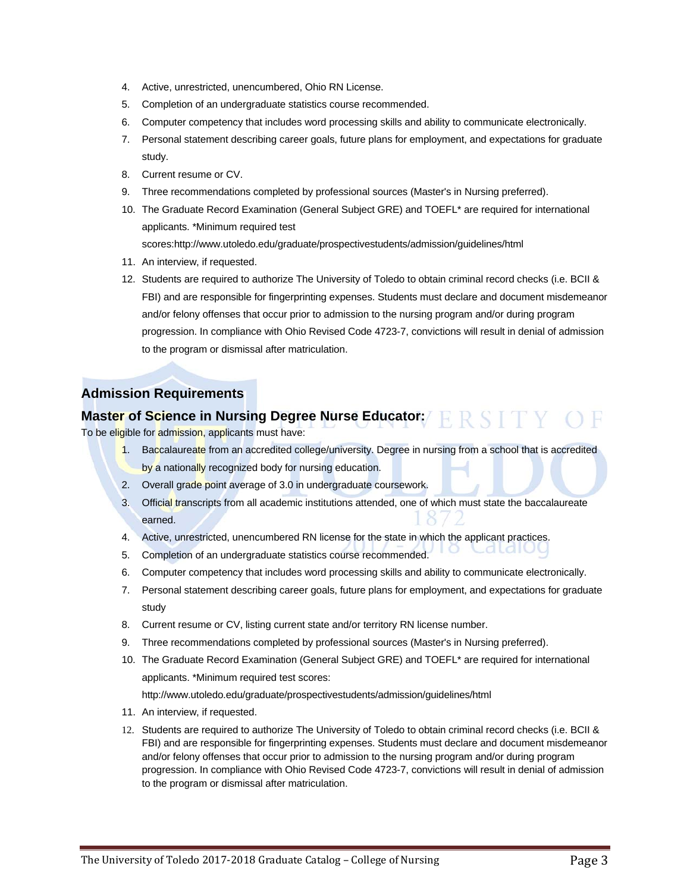- 4. Active, unrestricted, unencumbered, Ohio RN License.
- 5. Completion of an undergraduate statistics course recommended.
- 6. Computer competency that includes word processing skills and ability to communicate electronically.
- 7. Personal statement describing career goals, future plans for employment, and expectations for graduate study.
- 8. Current resume or CV.
- 9. Three recommendations completed by professional sources (Master's in Nursing preferred).
- 10. The Graduate Record Examination (General Subject GRE) and TOEFL\* are required for international applicants. \*Minimum required test scores:http://www.utoledo.edu/graduate/prospectivestudents/admission/guidelines/html
- 11. An interview, if requested.
- 12. Students are required to authorize The University of Toledo to obtain criminal record checks (i.e. BCII & FBI) and are responsible for fingerprinting expenses. Students must declare and document misdemeanor and/or felony offenses that occur prior to admission to the nursing program and/or during program progression. In compliance with Ohio Revised Code 4723-7, convictions will result in denial of admission to the program or dismissal after matriculation.

# **Master of Science in Nursing Degree Nurse Educator: FRSITY OF**

To be eligible for admission, applicants must have:

- 1. Baccalaureate from an accredited college/university. Degree in nursing from a school that is accredited by a nationally recognized body for nursing education.
- 2. Overall grade point average of 3.0 in undergraduate coursework.
- 3. Official transcripts from all academic institutions attended, one of which must state the baccalaureate earned.
- 4. Active, unrestricted, unencumbered RN license for the state in which the applicant practices.
- 5. Completion of an undergraduate statistics course recommended.
- 6. Computer competency that includes word processing skills and ability to communicate electronically.
- 7. Personal statement describing career goals, future plans for employment, and expectations for graduate study
- 8. Current resume or CV, listing current state and/or territory RN license number.
- 9. Three recommendations completed by professional sources (Master's in Nursing preferred).
- 10. The Graduate Record Examination (General Subject GRE) and TOEFL\* are required for international applicants. \*Minimum required test scores:

http://www.utoledo.edu/graduate/prospectivestudents/admission/guidelines/html

- 11. An interview, if requested.
- 12. Students are required to authorize The University of Toledo to obtain criminal record checks (i.e. BCII & FBI) and are responsible for fingerprinting expenses. Students must declare and document misdemeanor and/or felony offenses that occur prior to admission to the nursing program and/or during program progression. In compliance with Ohio Revised Code 4723-7, convictions will result in denial of admission to the program or dismissal after matriculation.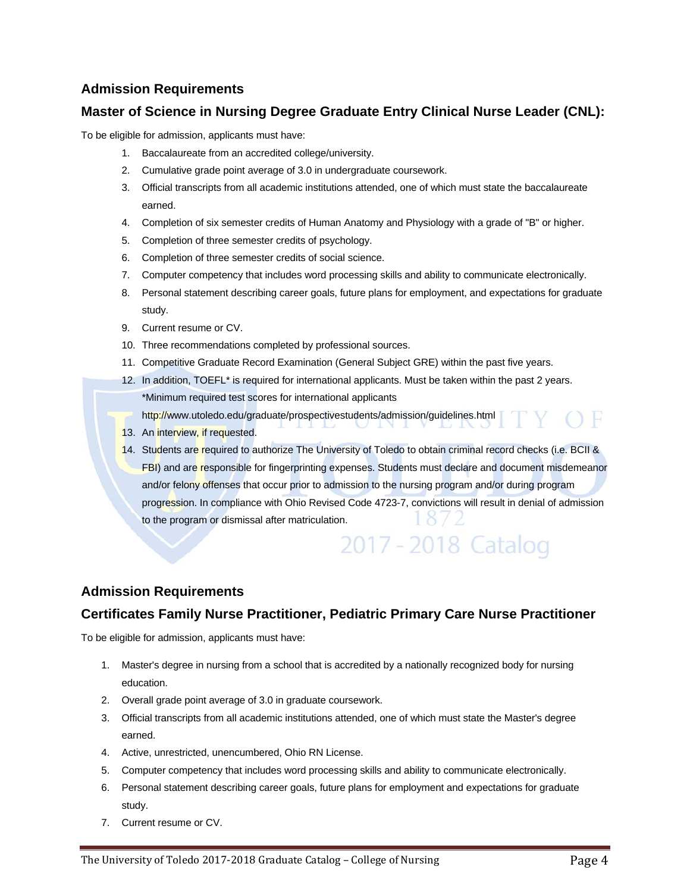## **Master of Science in Nursing Degree Graduate Entry Clinical Nurse Leader (CNL):**

To be eligible for admission, applicants must have:

- 1. Baccalaureate from an accredited college/university.
- 2. Cumulative grade point average of 3.0 in undergraduate coursework.
- 3. Official transcripts from all academic institutions attended, one of which must state the baccalaureate earned.
- 4. Completion of six semester credits of Human Anatomy and Physiology with a grade of "B" or higher.
- 5. Completion of three semester credits of psychology.
- 6. Completion of three semester credits of social science.
- 7. Computer competency that includes word processing skills and ability to communicate electronically.
- 8. Personal statement describing career goals, future plans for employment, and expectations for graduate study.
- 9. Current resume or CV.
- 10. Three recommendations completed by professional sources.
- 11. Competitive Graduate Record Examination (General Subject GRE) within the past five years.
- 12. In addition, TOEFL\* is required for international applicants. Must be taken within the past 2 years. \*Minimum required test scores for international applicants

http://www.utoledo.edu/graduate/prospectivestudents/admission/guidelines.html

- 13. An interview, if requested.
- 14. Students are required to authorize The University of Toledo to obtain criminal record checks (i.e. BCII & FBI) and are responsible for fingerprinting expenses. Students must declare and document misdemeanor and/or felony offenses that occur prior to admission to the nursing program and/or during program progression. In compliance with Ohio Revised Code 4723-7, convictions will result in denial of admission to the program or dismissal after matriculation.

2017 - 2018 Catalog

#### **Admission Requirements**

# **Certificates Family Nurse Practitioner, Pediatric Primary Care Nurse Practitioner**

To be eligible for admission, applicants must have:

- 1. Master's degree in nursing from a school that is accredited by a nationally recognized body for nursing education.
- 2. Overall grade point average of 3.0 in graduate coursework.
- 3. Official transcripts from all academic institutions attended, one of which must state the Master's degree earned.
- 4. Active, unrestricted, unencumbered, Ohio RN License.
- 5. Computer competency that includes word processing skills and ability to communicate electronically.
- 6. Personal statement describing career goals, future plans for employment and expectations for graduate study.
- 7. Current resume or CV.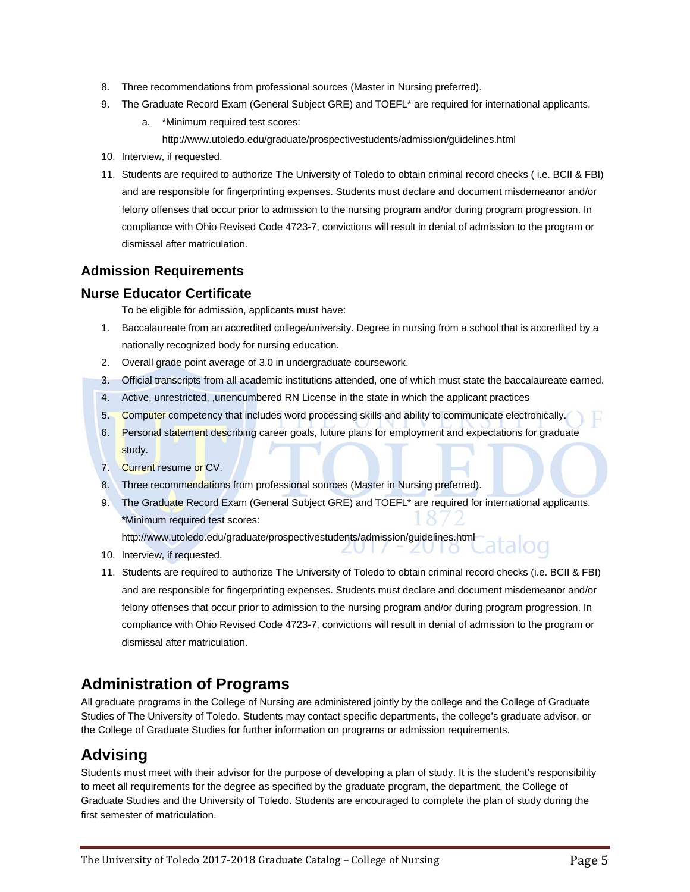- 8. Three recommendations from professional sources (Master in Nursing preferred).
- 9. The Graduate Record Exam (General Subject GRE) and TOEFL<sup>\*</sup> are required for international applicants.
	- a. \*Minimum required test scores: http://www.utoledo.edu/graduate/prospectivestudents/admission/guidelines.html
- 10. Interview, if requested.
- 11. Students are required to authorize The University of Toledo to obtain criminal record checks ( i.e. BCII & FBI) and are responsible for fingerprinting expenses. Students must declare and document misdemeanor and/or felony offenses that occur prior to admission to the nursing program and/or during program progression. In compliance with Ohio Revised Code 4723-7, convictions will result in denial of admission to the program or dismissal after matriculation.

#### **Nurse Educator Certificate**

To be eligible for admission, applicants must have:

- 1. Baccalaureate from an accredited college/university. Degree in nursing from a school that is accredited by a nationally recognized body for nursing education.
- 2. Overall grade point average of 3.0 in undergraduate coursework.
- 3. Official transcripts from all academic institutions attended, one of which must state the baccalaureate earned.
- 4. Active, unrestricted, ,unencumbered RN License in the state in which the applicant practices
- 5. Computer competency that includes word processing skills and ability to communicate electronically.
- 6. Personal statement describing career goals, future plans for employment and expectations for graduate study.
- 7. Current resume or CV.
- 8. Three recommendations from professional sources (Master in Nursing preferred).
- 9. The Graduate Record Exam (General Subject GRE) and TOEFL<sup>\*</sup> are required for international applicants. \*Minimum required test scores:

ZU LI

http://www.utoledo.edu/graduate/prospectivestudents/admission/guidelines.html

- 10. Interview, if requested.
- 11. Students are required to authorize The University of Toledo to obtain criminal record checks (i.e. BCII & FBI) and are responsible for fingerprinting expenses. Students must declare and document misdemeanor and/or felony offenses that occur prior to admission to the nursing program and/or during program progression. In compliance with Ohio Revised Code 4723-7, convictions will result in denial of admission to the program or dismissal after matriculation.

# **Administration of Programs**

All graduate programs in the College of Nursing are administered jointly by the college and the College of Graduate Studies of The University of Toledo. Students may contact specific departments, the college's graduate advisor, or the College of Graduate Studies for further information on programs or admission requirements.

# **Advising**

Students must meet with their advisor for the purpose of developing a plan of study. It is the student's responsibility to meet all requirements for the degree as specified by the graduate program, the department, the College of Graduate Studies and the University of Toledo. Students are encouraged to complete the plan of study during the first semester of matriculation.

alog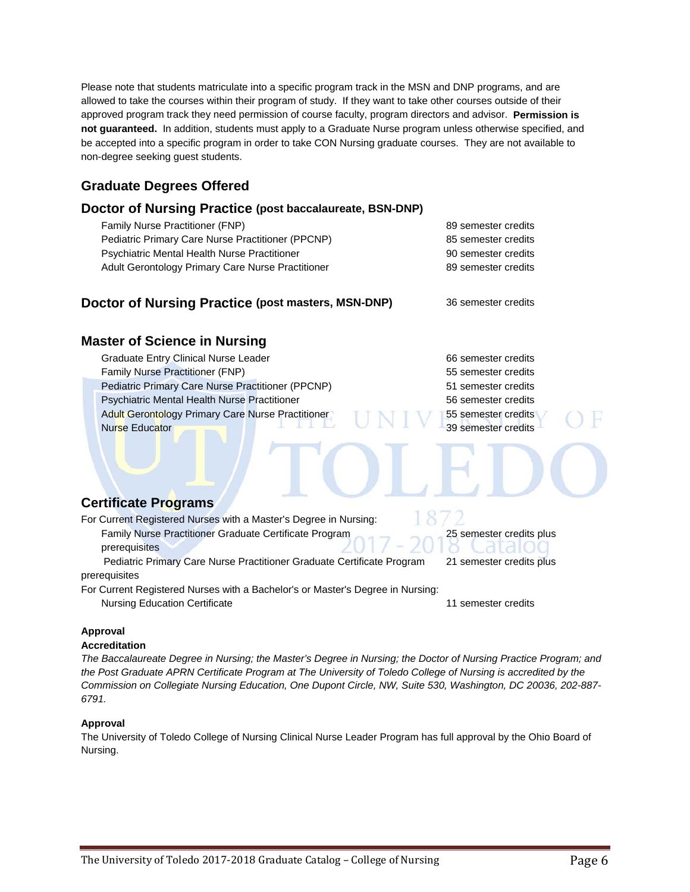Please note that students matriculate into a specific program track in the MSN and DNP programs, and are allowed to take the courses within their program of study. If they want to take other courses outside of their approved program track they need permission of course faculty, program directors and advisor. **Permission is not guaranteed.** In addition, students must apply to a Graduate Nurse program unless otherwise specified, and be accepted into a specific program in order to take CON Nursing graduate courses. They are not available to non-degree seeking guest students.

# **Graduate Degrees Offered**

#### **Doctor of Nursing Practice (post baccalaureate, BSN-DNP)**

Family Nurse Practitioner (FNP) 89 semester credits Pediatric Primary Care Nurse Practitioner (PPCNP) 85 semester credits Psychiatric Mental Health Nurse Practitioner 90 semester credits Adult Gerontology Primary Care Nurse Practitioner 89 semester credits

#### **Doctor of Nursing Practice (post masters, MSN-DNP)** 36 semester credits

# **Master of Science in Nursing**

Graduate Entry Clinical Nurse Leader 66 semester credits Family Nurse Practitioner (FNP) 55 semester credits Pediatric Primary Care Nurse Practitioner (PPCNP) 51 semester credits Psychiatric Mental Health Nurse Practitioner 56 semester credits Adult Gerontology Primary Care Nurse Practitioner **1988 1988** 1988 Semester credits Nurse Educator 39 semester credits

# **Certificate Programs**

| For Current Registered Nurses with a Master's Degree in Nursing:               |                          |
|--------------------------------------------------------------------------------|--------------------------|
| Family Nurse Practitioner Graduate Certificate Program                         | 25 semester credits plus |
| prerequisites                                                                  | 2017–2018 Catalog        |
| Pediatric Primary Care Nurse Practitioner Graduate Certificate Program         | 21 semester credits plus |
| prerequisites                                                                  |                          |
| For Current Registered Nurses with a Bachelor's or Master's Degree in Nursing: |                          |
| $\blacksquare$                                                                 |                          |

Nursing Education Certificate 11 semester credits

#### **Approval**

#### **Accreditation**

*The Baccalaureate Degree in Nursing; the Master's Degree in Nursing; the Doctor of Nursing Practice Program; and the Post Graduate APRN Certificate Program at The University of Toledo College of Nursing is accredited by the Commission on Collegiate Nursing Education, One Dupont Circle, NW, Suite 530, Washington, DC 20036, 202-887- 6791.*

#### **Approval**

The University of Toledo College of Nursing Clinical Nurse Leader Program has full approval by the Ohio Board of Nursing.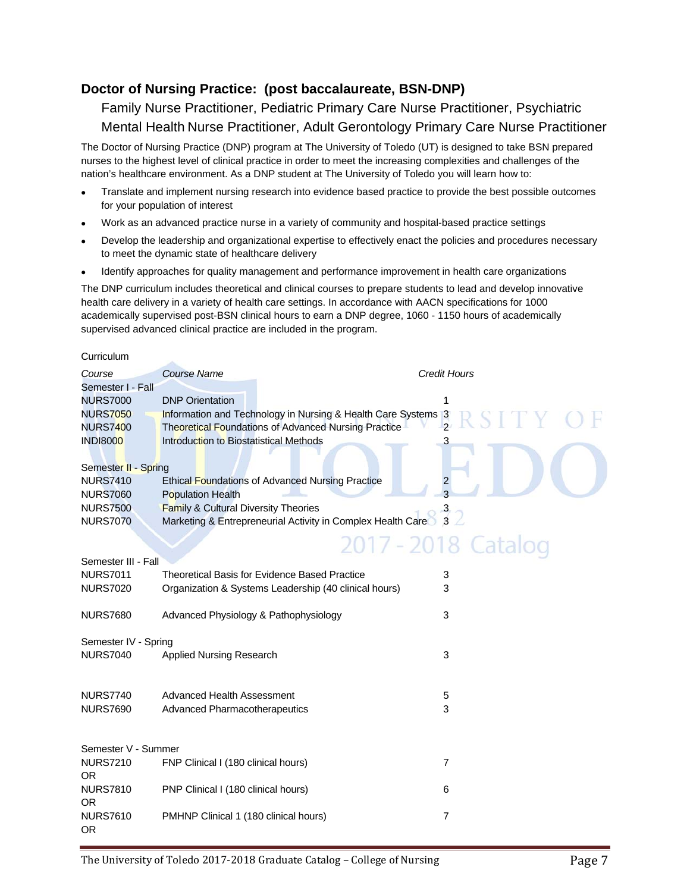# **Doctor of Nursing Practice: (post baccalaureate, BSN-DNP)**

Family Nurse Practitioner, Pediatric Primary Care Nurse Practitioner, Psychiatric Mental Health Nurse Practitioner, Adult Gerontology Primary Care Nurse Practitioner

The Doctor of Nursing Practice (DNP) program at The University of Toledo (UT) is designed to take BSN prepared nurses to the highest level of clinical practice in order to meet the increasing complexities and challenges of the nation's healthcare environment. As a DNP student at The University of Toledo you will learn how to:

- Translate and implement nursing research into evidence based practice to provide the best possible outcomes for your population of interest
- Work as an advanced practice nurse in a variety of community and hospital-based practice settings
- Develop the leadership and organizational expertise to effectively enact the policies and procedures necessary to meet the dynamic state of healthcare delivery
- Identify approaches for quality management and performance improvement in health care organizations

The DNP curriculum includes theoretical and clinical courses to prepare students to lead and develop innovative health care delivery in a variety of health care settings. In accordance with AACN specifications for 1000 academically supervised post-BSN clinical hours to earn a DNP degree, 1060 - 1150 hours of academically supervised advanced clinical practice are included in the program.

#### Curriculum

| Course               | <b>Course Name</b>                                            | <b>Credit Hours</b> |
|----------------------|---------------------------------------------------------------|---------------------|
| Semester I - Fall    |                                                               |                     |
| <b>NURS7000</b>      | <b>DNP</b> Orientation                                        |                     |
| <b>NURS7050</b>      | Information and Technology in Nursing & Health Care Systems 3 |                     |
| <b>NURS7400</b>      | Theoretical Foundations of Advanced Nursing Practice          | $\overline{2}$      |
| <b>INDI8000</b>      | Introduction to Biostatistical Methods                        | 3                   |
|                      |                                                               |                     |
| Semester II - Spring |                                                               |                     |
| <b>NURS7410</b>      | <b>Ethical Foundations of Advanced Nursing Practice</b>       | 2                   |
| <b>NURS7060</b>      | <b>Population Health</b>                                      |                     |
| <b>NURS7500</b>      | <b>Family &amp; Cultural Diversity Theories</b>               |                     |
| <b>NURS7070</b>      | Marketing & Entrepreneurial Activity in Complex Health Care   |                     |
|                      |                                                               | 2017 - 2018 Catalog |
| Semester III - Fall  |                                                               |                     |
| <b>NURS7011</b>      | Theoretical Basis for Evidence Based Practice                 |                     |
| <b>NURS7020</b>      | Organization & Systems Leadership (40 clinical hours)         | 3<br>3              |
|                      |                                                               |                     |
| <b>NURS7680</b>      | Advanced Physiology & Pathophysiology                         | 3                   |
|                      |                                                               |                     |
| Semester IV - Spring |                                                               |                     |
| <b>NURS7040</b>      | <b>Applied Nursing Research</b>                               | 3                   |
|                      |                                                               |                     |
|                      |                                                               |                     |
| <b>NURS7740</b>      | Advanced Health Assessment                                    | 5                   |
| <b>NURS7690</b>      | Advanced Pharmacotherapeutics                                 | 3                   |
| Semester V - Summer  |                                                               |                     |
| <b>NURS7210</b>      | FNP Clinical I (180 clinical hours)                           | $\overline{7}$      |
| <b>OR</b>            |                                                               |                     |
| <b>NURS7810</b>      | PNP Clinical I (180 clinical hours)                           | 6                   |
| <b>OR</b>            |                                                               |                     |
| <b>NURS7610</b>      | PMHNP Clinical 1 (180 clinical hours)                         | 7                   |
| <b>OR</b>            |                                                               |                     |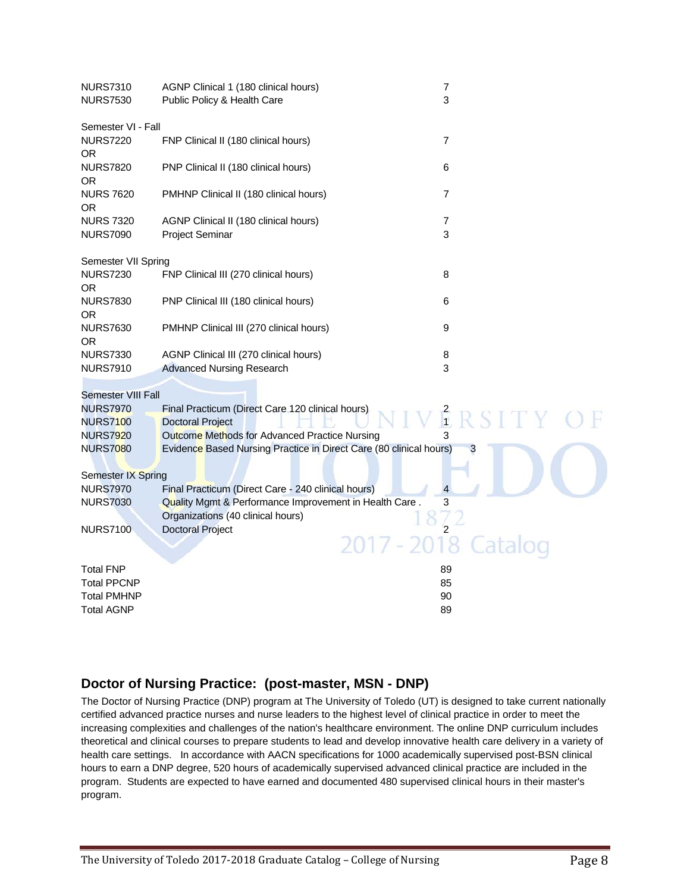| <b>NURS7310</b><br><b>NURS7530</b>    | AGNP Clinical 1 (180 clinical hours)<br>Public Policy & Health Care                                          | $\overline{7}$<br>3 |
|---------------------------------------|--------------------------------------------------------------------------------------------------------------|---------------------|
| Semester VI - Fall                    |                                                                                                              |                     |
| <b>NURS7220</b><br>OR.                | FNP Clinical II (180 clinical hours)                                                                         | 7                   |
| <b>NURS7820</b><br>OR                 | PNP Clinical II (180 clinical hours)                                                                         | 6                   |
| <b>NURS 7620</b><br>OR.               | PMHNP Clinical II (180 clinical hours)                                                                       | 7                   |
| <b>NURS 7320</b>                      | AGNP Clinical II (180 clinical hours)                                                                        | $\overline{7}$      |
| <b>NURS7090</b>                       | <b>Project Seminar</b>                                                                                       | 3                   |
| Semester VII Spring                   |                                                                                                              |                     |
| <b>NURS7230</b>                       | FNP Clinical III (270 clinical hours)                                                                        | 8                   |
| OR.                                   |                                                                                                              |                     |
| <b>NURS7830</b><br>OR.                | PNP Clinical III (180 clinical hours)                                                                        | 6                   |
| <b>NURS7630</b>                       | PMHNP Clinical III (270 clinical hours)                                                                      | 9                   |
| 0R                                    |                                                                                                              |                     |
| <b>NURS7330</b>                       | AGNP Clinical III (270 clinical hours)                                                                       | 8                   |
| <b>NURS7910</b>                       | <b>Advanced Nursing Research</b>                                                                             | 3                   |
| <b>Semester VIII Fall</b>             |                                                                                                              |                     |
| <b>NURS7970</b>                       | Final Practicum (Direct Care 120 clinical hours)                                                             | $R$ RSITY           |
| <b>NURS7100</b><br><b>NURS7920</b>    | <b>Doctoral Project</b><br>Outcome Methods for Advanced Practice Nursing                                     |                     |
| <b>NURS7080</b>                       | Evidence Based Nursing Practice in Direct Care (80 clinical hours)                                           | 3                   |
|                                       |                                                                                                              |                     |
| Semester IX Spring<br><b>NURS7970</b> |                                                                                                              | $\overline{4}$      |
| <b>NURS7030</b>                       | Final Practicum (Direct Care - 240 clinical hours)<br>Quality Mgmt & Performance Improvement in Health Care. | 3                   |
|                                       | Organizations (40 clinical hours)                                                                            |                     |
| <b>NURS7100</b>                       | <b>Doctoral Project</b>                                                                                      |                     |
|                                       | 2017 - 2018                                                                                                  |                     |
| <b>Total FNP</b>                      |                                                                                                              | 89                  |
| <b>Total PPCNP</b>                    |                                                                                                              | 85                  |
| <b>Total PMHNP</b>                    |                                                                                                              | 90<br>89            |
| Total AGNP                            |                                                                                                              |                     |

# **Doctor of Nursing Practice: (post-master, MSN - DNP)**

The Doctor of Nursing Practice (DNP) program at The University of Toledo (UT) is designed to take current nationally certified advanced practice nurses and nurse leaders to the highest level of clinical practice in order to meet the increasing complexities and challenges of the nation's healthcare environment. The online DNP curriculum includes theoretical and clinical courses to prepare students to lead and develop innovative health care delivery in a variety of health care settings. In accordance with AACN specifications for 1000 academically supervised post-BSN clinical hours to earn a DNP degree, 520 hours of academically supervised advanced clinical practice are included in the program. Students are expected to have earned and documented 480 supervised clinical hours in their master's program.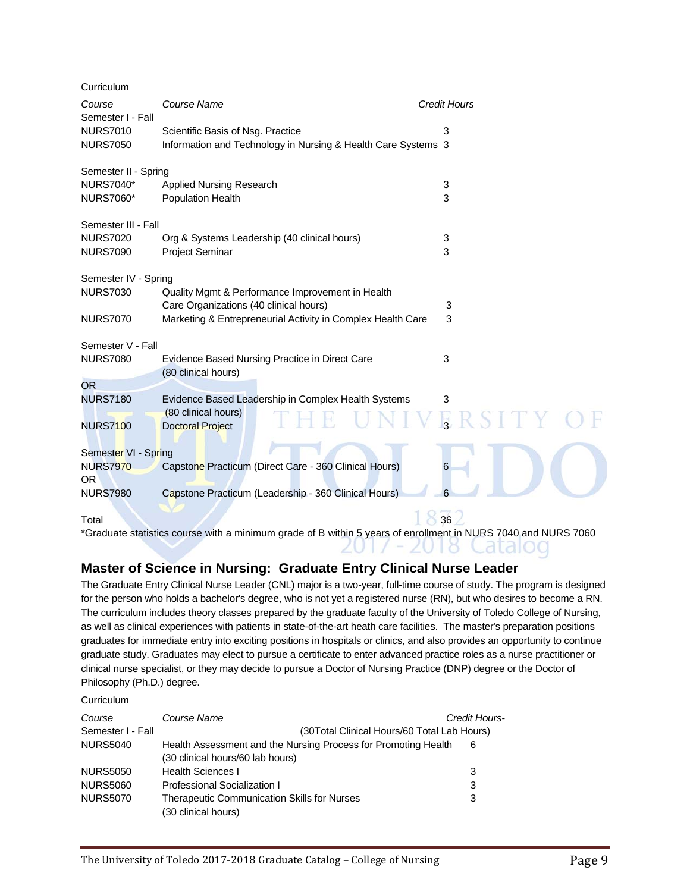| Curriculum                  |                                                               |                     |
|-----------------------------|---------------------------------------------------------------|---------------------|
| Course<br>Semester I - Fall | Course Name                                                   | <b>Credit Hours</b> |
| <b>NURS7010</b>             | Scientific Basis of Nsg. Practice                             | 3                   |
| <b>NURS7050</b>             | Information and Technology in Nursing & Health Care Systems 3 |                     |
| Semester II - Spring        |                                                               |                     |
| <b>NURS7040*</b>            | Applied Nursing Research                                      | 3                   |
| <b>NURS7060*</b>            | Population Health                                             | 3                   |
| Semester III - Fall         |                                                               |                     |
| <b>NURS7020</b>             | Org & Systems Leadership (40 clinical hours)                  | 3                   |
| <b>NURS7090</b>             | <b>Project Seminar</b>                                        | 3                   |
| Semester IV - Spring        |                                                               |                     |
| <b>NURS7030</b>             | Quality Mgmt & Performance Improvement in Health              |                     |
|                             | Care Organizations (40 clinical hours)                        | 3<br>3              |
| <b>NURS7070</b>             | Marketing & Entrepreneurial Activity in Complex Health Care   |                     |
| Semester V - Fall           |                                                               |                     |
| <b>NURS7080</b>             | Evidence Based Nursing Practice in Direct Care                | 3                   |
| <b>OR</b>                   | (80 clinical hours)                                           |                     |
| <b>NURS7180</b>             | Evidence Based Leadership in Complex Health Systems           | 3                   |
|                             | (80 clinical hours)                                           |                     |
| <b>NURS7100</b>             | <b>Doctoral Project</b>                                       | ERSII               |
| Semester VI - Spring        |                                                               |                     |
| <b>NURS7970</b>             | Capstone Practicum (Direct Care - 360 Clinical Hours)         | 6                   |
| <b>OR</b>                   |                                                               |                     |
| <b>NURS7980</b>             | Capstone Practicum (Leadership - 360 Clinical Hours)          | 6                   |
| Total                       |                                                               | 36                  |

\*Graduate statistics course with a minimum grade of B within 5 years of enrollment in NURS 7040 and NURS 7060 2017 - 2018 Catalog

# **Master of Science in Nursing: Graduate Entry Clinical Nurse Leader**

The Graduate Entry Clinical Nurse Leader (CNL) major is a two-year, full-time course of study. The program is designed for the person who holds a bachelor's degree, who is not yet a registered nurse (RN), but who desires to become a RN. The curriculum includes theory classes prepared by the graduate faculty of the University of Toledo College of Nursing, as well as clinical experiences with patients in state-of-the-art heath care facilities. The master's preparation positions graduates for immediate entry into exciting positions in hospitals or clinics, and also provides an opportunity to continue graduate study. Graduates may elect to pursue a certificate to enter advanced practice roles as a nurse practitioner or clinical nurse specialist, or they may decide to pursue a Doctor of Nursing Practice (DNP) degree or the Doctor of Philosophy (Ph.D.) degree.

**Curriculum** 

| Course            | Course Name                                                    | Credit Hours- |
|-------------------|----------------------------------------------------------------|---------------|
| Semester I - Fall | (30Total Clinical Hours/60 Total Lab Hours)                    |               |
| <b>NURS5040</b>   | Health Assessment and the Nursing Process for Promoting Health | 6             |
|                   | (30 clinical hours/60 lab hours)                               |               |
| <b>NURS5050</b>   | <b>Health Sciences I</b>                                       | 3             |
| <b>NURS5060</b>   | Professional Socialization I                                   | 3             |
| <b>NURS5070</b>   | <b>Therapeutic Communication Skills for Nurses</b>             | 3             |
|                   | (30 clinical hours)                                            |               |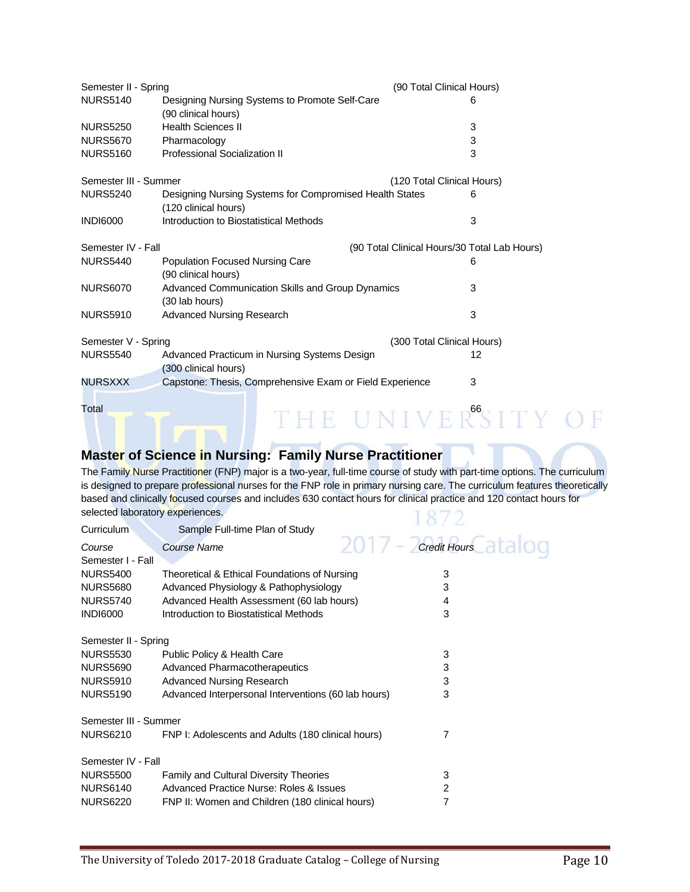| Semester II - Spring  |                                                                                 | (90 Total Clinical Hours)  |                                              |  |
|-----------------------|---------------------------------------------------------------------------------|----------------------------|----------------------------------------------|--|
| <b>NURS5140</b>       | Designing Nursing Systems to Promote Self-Care<br>(90 clinical hours)           |                            | 6                                            |  |
| <b>NURS5250</b>       | <b>Health Sciences II</b>                                                       |                            | 3                                            |  |
| <b>NURS5670</b>       | Pharmacology                                                                    |                            | 3                                            |  |
| <b>NURS5160</b>       | <b>Professional Socialization II</b>                                            |                            | 3                                            |  |
| Semester III - Summer |                                                                                 | (120 Total Clinical Hours) |                                              |  |
| <b>NURS5240</b>       | Designing Nursing Systems for Compromised Health States<br>(120 clinical hours) |                            | 6                                            |  |
| <b>INDI6000</b>       | Introduction to Biostatistical Methods                                          |                            | 3                                            |  |
| Semester IV - Fall    |                                                                                 |                            | (90 Total Clinical Hours/30 Total Lab Hours) |  |
| <b>NURS5440</b>       | Population Focused Nursing Care<br>(90 clinical hours)                          |                            | 6                                            |  |
| <b>NURS6070</b>       | Advanced Communication Skills and Group Dynamics<br>(30 lab hours)              |                            | 3                                            |  |
| <b>NURS5910</b>       | <b>Advanced Nursing Research</b>                                                |                            | 3                                            |  |
| Semester V - Spring   |                                                                                 | (300 Total Clinical Hours) |                                              |  |
| <b>NURS5540</b>       | Advanced Practicum in Nursing Systems Design<br>(300 clinical hours)            |                            | 12                                           |  |
| <b>NURSXXX</b>        | Capstone: Thesis, Comprehensive Exam or Field Experience                        |                            | 3                                            |  |
| Total                 |                                                                                 |                            | 66                                           |  |

# **Master of Science in Nursing: Family Nurse Practitioner**

The Family Nurse Practitioner (FNP) major is a two-year, full-time course of study with part-time options. The curriculum is designed to prepare professional nurses for the FNP role in primary nursing care. The curriculum features theoretically based and clinically focused courses and includes 630 contact hours for clinical practice and 120 contact hours for selected laboratory experiences. 1872

| Curriculum            | Sample Full-time Plan of Study                      | $\mathcal{L}$ and $\mathcal{L}$ and $\mathcal{L}$ |
|-----------------------|-----------------------------------------------------|---------------------------------------------------|
| Course                | <b>Course Name</b>                                  | 2017 - Credit Hours at a OC                       |
| Semester I - Fall     |                                                     |                                                   |
| <b>NURS5400</b>       | Theoretical & Ethical Foundations of Nursing        | 3                                                 |
| <b>NURS5680</b>       | Advanced Physiology & Pathophysiology               | 3                                                 |
| <b>NURS5740</b>       | Advanced Health Assessment (60 lab hours)           | 4                                                 |
| <b>INDI6000</b>       | Introduction to Biostatistical Methods              | 3                                                 |
| Semester II - Spring  |                                                     |                                                   |
| <b>NURS5530</b>       | Public Policy & Health Care                         | 3                                                 |
| <b>NURS5690</b>       | Advanced Pharmacotherapeutics                       | 3                                                 |
| <b>NURS5910</b>       | <b>Advanced Nursing Research</b>                    | 3                                                 |
| <b>NURS5190</b>       | Advanced Interpersonal Interventions (60 lab hours) | 3                                                 |
| Semester III - Summer |                                                     |                                                   |
| <b>NURS6210</b>       | FNP I: Adolescents and Adults (180 clinical hours)  |                                                   |
| Semester IV - Fall    |                                                     |                                                   |
| <b>NURS5500</b>       | <b>Family and Cultural Diversity Theories</b>       | 3                                                 |
| <b>NURS6140</b>       | Advanced Practice Nurse: Roles & Issues             | 2                                                 |
| <b>NURS6220</b>       | FNP II: Women and Children (180 clinical hours)     | 7                                                 |
|                       |                                                     |                                                   |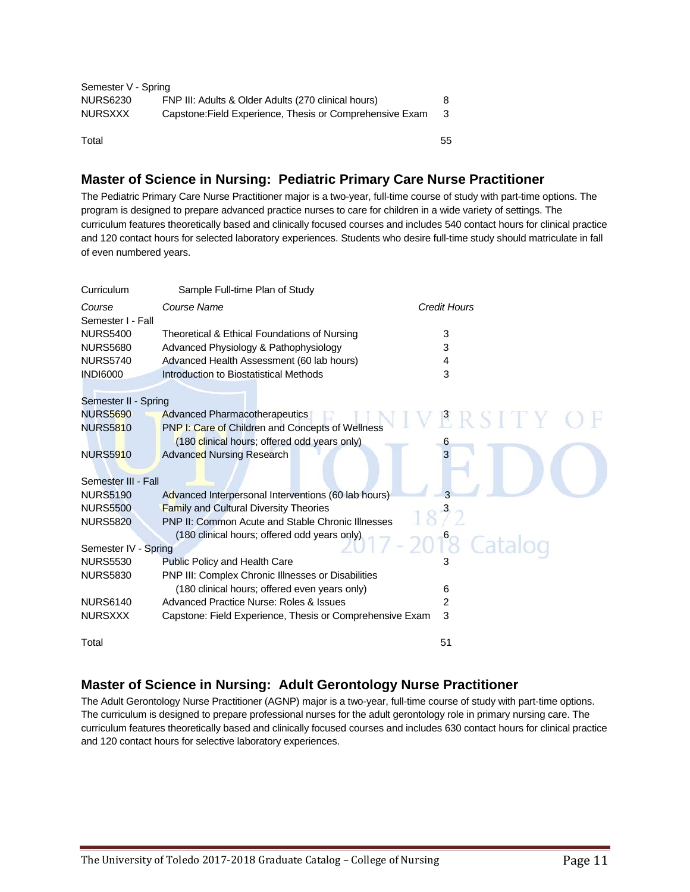| Semester V - Spring |                                                          |    |
|---------------------|----------------------------------------------------------|----|
| <b>NURS6230</b>     | FNP III: Adults & Older Adults (270 clinical hours)      |    |
| <b>NURSXXX</b>      | Capstone: Field Experience, Thesis or Comprehensive Exam |    |
| Total               |                                                          | 55 |

# **Master of Science in Nursing: Pediatric Primary Care Nurse Practitioner**

The Pediatric Primary Care Nurse Practitioner major is a two-year, full-time course of study with part-time options. The program is designed to prepare advanced practice nurses to care for children in a wide variety of settings. The curriculum features theoretically based and clinically focused courses and includes 540 contact hours for clinical practice and 120 contact hours for selected laboratory experiences. Students who desire full-time study should matriculate in fall of even numbered years.

| Curriculum           | Sample Full-time Plan of Study                            |                     |
|----------------------|-----------------------------------------------------------|---------------------|
| Course               | Course Name                                               | <b>Credit Hours</b> |
| Semester I - Fall    |                                                           |                     |
| <b>NURS5400</b>      | Theoretical & Ethical Foundations of Nursing              | 3                   |
| <b>NURS5680</b>      | Advanced Physiology & Pathophysiology                     | 3                   |
| <b>NURS5740</b>      | Advanced Health Assessment (60 lab hours)                 | 4                   |
| <b>INDI6000</b>      | Introduction to Biostatistical Methods                    | 3                   |
|                      |                                                           |                     |
| Semester II - Spring |                                                           |                     |
| <b>NURS5690</b>      | <b>Advanced Pharmacotherapeutics</b>                      |                     |
| <b>NURS5810</b>      | PNP I: Care of Children and Concepts of Wellness          |                     |
|                      | (180 clinical hours; offered odd years only)              | 6                   |
| <b>NURS5910</b>      | <b>Advanced Nursing Research</b>                          | 3                   |
|                      |                                                           |                     |
| Semester III - Fall  |                                                           |                     |
| <b>NURS5190</b>      | Advanced Interpersonal Interventions (60 lab hours)       | 3                   |
| <b>NURS5500</b>      | <b>Family and Cultural Diversity Theories</b>             |                     |
| <b>NURS5820</b>      | <b>PNP II: Common Acute and Stable Chronic Illnesses</b>  |                     |
|                      | (180 clinical hours; offered odd years only)              | $-2018$ Catalog     |
| Semester IV - Spring |                                                           |                     |
| <b>NURS5530</b>      | <b>Public Policy and Health Care</b>                      |                     |
| <b>NURS5830</b>      | <b>PNP III: Complex Chronic IIInesses or Disabilities</b> |                     |
|                      | (180 clinical hours; offered even years only)             | 6                   |
| <b>NURS6140</b>      | Advanced Practice Nurse: Roles & Issues                   | 2                   |
| <b>NURSXXX</b>       | Capstone: Field Experience, Thesis or Comprehensive Exam  | 3                   |
| Total                |                                                           | 51                  |

# **Master of Science in Nursing: Adult Gerontology Nurse Practitioner**

The Adult Gerontology Nurse Practitioner (AGNP) major is a two-year, full-time course of study with part-time options. The curriculum is designed to prepare professional nurses for the adult gerontology role in primary nursing care. The curriculum features theoretically based and clinically focused courses and includes 630 contact hours for clinical practice and 120 contact hours for selective laboratory experiences.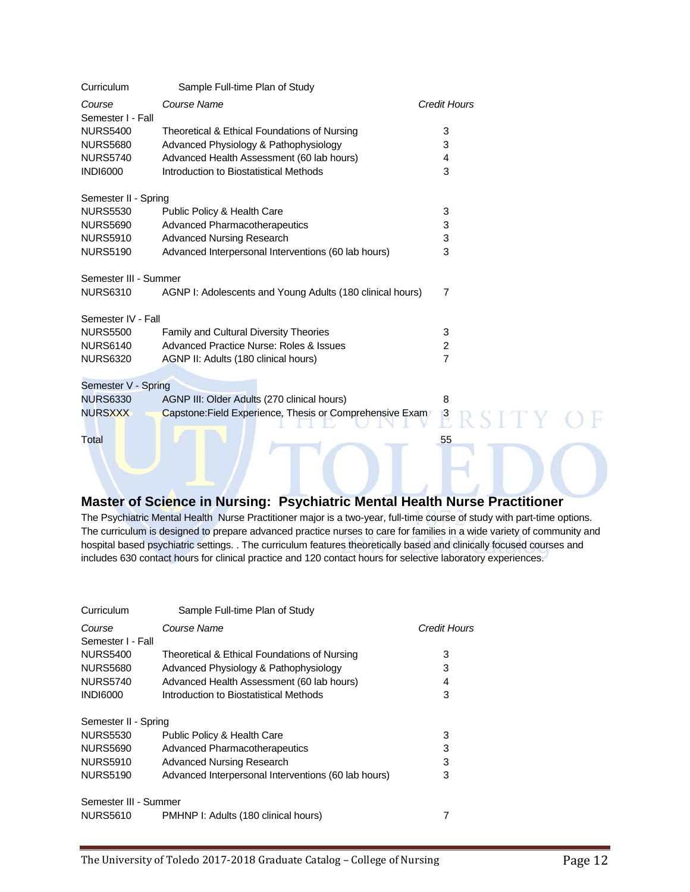| Curriculum                  | Sample Full-time Plan of Study                            |                     |
|-----------------------------|-----------------------------------------------------------|---------------------|
| Course<br>Semester I - Fall | Course Name                                               | <b>Credit Hours</b> |
| <b>NURS5400</b>             | Theoretical & Ethical Foundations of Nursing              | 3                   |
| <b>NURS5680</b>             | Advanced Physiology & Pathophysiology                     | 3                   |
| <b>NURS5740</b>             | Advanced Health Assessment (60 lab hours)                 | 4                   |
| <b>INDI6000</b>             | Introduction to Biostatistical Methods                    | 3                   |
| Semester II - Spring        |                                                           |                     |
| <b>NURS5530</b>             | Public Policy & Health Care                               | 3                   |
| <b>NURS5690</b>             | <b>Advanced Pharmacotherapeutics</b>                      | 3                   |
| <b>NURS5910</b>             | <b>Advanced Nursing Research</b>                          | 3                   |
| <b>NURS5190</b>             | Advanced Interpersonal Interventions (60 lab hours)       | 3                   |
| Semester III - Summer       |                                                           |                     |
| <b>NURS6310</b>             | AGNP I: Adolescents and Young Adults (180 clinical hours) | 7                   |
| Semester IV - Fall          |                                                           |                     |
| <b>NURS5500</b>             | <b>Family and Cultural Diversity Theories</b>             | 3                   |
| <b>NURS6140</b>             | Advanced Practice Nurse: Roles & Issues                   | $\overline{2}$      |
| <b>NURS6320</b>             | AGNP II: Adults (180 clinical hours)                      | $\overline{7}$      |
| Semester V - Spring         |                                                           |                     |
| <b>NURS6330</b>             | AGNP III: Older Adults (270 clinical hours)               | 8                   |
| <b>NURSXXX</b>              | Capstone: Field Experience, Thesis or Comprehensive Exam  |                     |
| Total                       |                                                           | 55                  |
|                             |                                                           |                     |

## **Master of Science in Nursing: Psychiatric Mental Health Nurse Practitioner**

The Psychiatric Mental Health Nurse Practitioner major is a two-year, full-time course of study with part-time options. The curriculum is designed to prepare advanced practice nurses to care for families in a wide variety of community and hospital based psychiatric settings. . The curriculum features theoretically based and clinically focused courses and includes 630 contact hours for clinical practice and 120 contact hours for selective laboratory experiences.

| Curriculum            | Sample Full-time Plan of Study                      |              |
|-----------------------|-----------------------------------------------------|--------------|
| Course                | Course Name                                         | Credit Hours |
| Semester I - Fall     |                                                     |              |
| <b>NURS5400</b>       | Theoretical & Ethical Foundations of Nursing        | 3            |
| <b>NURS5680</b>       | Advanced Physiology & Pathophysiology               | 3            |
| <b>NURS5740</b>       | Advanced Health Assessment (60 lab hours)           | 4            |
| <b>INDI6000</b>       | Introduction to Biostatistical Methods              | 3            |
| Semester II - Spring  |                                                     |              |
| <b>NURS5530</b>       | Public Policy & Health Care                         | 3            |
| <b>NURS5690</b>       | <b>Advanced Pharmacotherapeutics</b>                | 3            |
| <b>NURS5910</b>       | <b>Advanced Nursing Research</b>                    | 3            |
| <b>NURS5190</b>       | Advanced Interpersonal Interventions (60 lab hours) | 3            |
| Semester III - Summer |                                                     |              |
| <b>NURS5610</b>       | PMHNP I: Adults (180 clinical hours)                |              |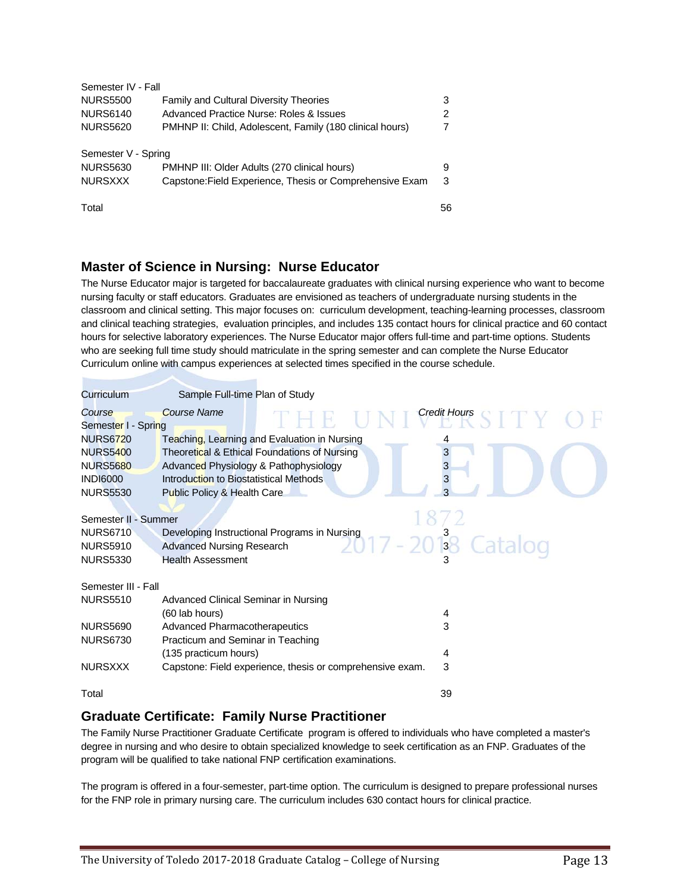| Semester IV - Fall  |                                                          |    |
|---------------------|----------------------------------------------------------|----|
| <b>NURS5500</b>     | <b>Family and Cultural Diversity Theories</b>            | 3  |
| <b>NURS6140</b>     | Advanced Practice Nurse: Roles & Issues                  | 2  |
| <b>NURS5620</b>     | PMHNP II: Child, Adolescent, Family (180 clinical hours) |    |
| Semester V - Spring |                                                          |    |
| <b>NURS5630</b>     | PMHNP III: Older Adults (270 clinical hours)             | 9  |
| <b>NURSXXX</b>      | Capstone: Field Experience, Thesis or Comprehensive Exam | 3  |
| Total               |                                                          | 56 |

# **Master of Science in Nursing: Nurse Educator**

The Nurse Educator major is targeted for baccalaureate graduates with clinical nursing experience who want to become nursing faculty or staff educators. Graduates are envisioned as teachers of undergraduate nursing students in the classroom and clinical setting. This major focuses on: curriculum development, teaching-learning processes, classroom and clinical teaching strategies, evaluation principles, and includes 135 contact hours for clinical practice and 60 contact hours for selective laboratory experiences. The Nurse Educator major offers full-time and part-time options. Students who are seeking full time study should matriculate in the spring semester and can complete the Nurse Educator Curriculum online with campus experiences at selected times specified in the course schedule.

| Curriculum                                                                                                          |                                                                       | Sample Full-time Plan of Study                                                                                                        |                          |
|---------------------------------------------------------------------------------------------------------------------|-----------------------------------------------------------------------|---------------------------------------------------------------------------------------------------------------------------------------|--------------------------|
| Course<br>Semester I - Spring                                                                                       | Course Name                                                           |                                                                                                                                       | <b>Credit Hours</b>      |
| <b>NURS6720</b><br><b>NURS5400</b><br><b>NURS5680</b><br><b>INDI6000</b><br><b>NURS5530</b><br>Semester II - Summer | Introduction to Biostatistical Methods<br>Public Policy & Health Care | Teaching, Learning and Evaluation in Nursing<br>Theoretical & Ethical Foundations of Nursing<br>Advanced Physiology & Pathophysiology | 3<br>3<br>3              |
| <b>NURS6710</b><br><b>NURS5910</b><br><b>NURS5330</b>                                                               | <b>Advanced Nursing Research</b><br><b>Health Assessment</b>          | Developing Instructional Programs in Nursing                                                                                          | $\frac{3}{3}$<br>Catalog |
| Semester III - Fall                                                                                                 |                                                                       |                                                                                                                                       |                          |
| <b>NURS5510</b>                                                                                                     | Advanced Clinical Seminar in Nursing<br>(60 lab hours)                |                                                                                                                                       | 4                        |
| <b>NURS5690</b><br><b>NURS6730</b>                                                                                  | Advanced Pharmacotherapeutics<br>Practicum and Seminar in Teaching    |                                                                                                                                       | 3                        |
|                                                                                                                     | (135 practicum hours)                                                 |                                                                                                                                       | 4                        |
| <b>NURSXXX</b>                                                                                                      |                                                                       | Capstone: Field experience, thesis or comprehensive exam.                                                                             | 3                        |
| Total                                                                                                               |                                                                       |                                                                                                                                       | 39                       |

# **Graduate Certificate: Family Nurse Practitioner**

The Family Nurse Practitioner Graduate Certificate program is offered to individuals who have completed a master's degree in nursing and who desire to obtain specialized knowledge to seek certification as an FNP. Graduates of the program will be qualified to take national FNP certification examinations.

The program is offered in a four-semester, part-time option. The curriculum is designed to prepare professional nurses for the FNP role in primary nursing care. The curriculum includes 630 contact hours for clinical practice.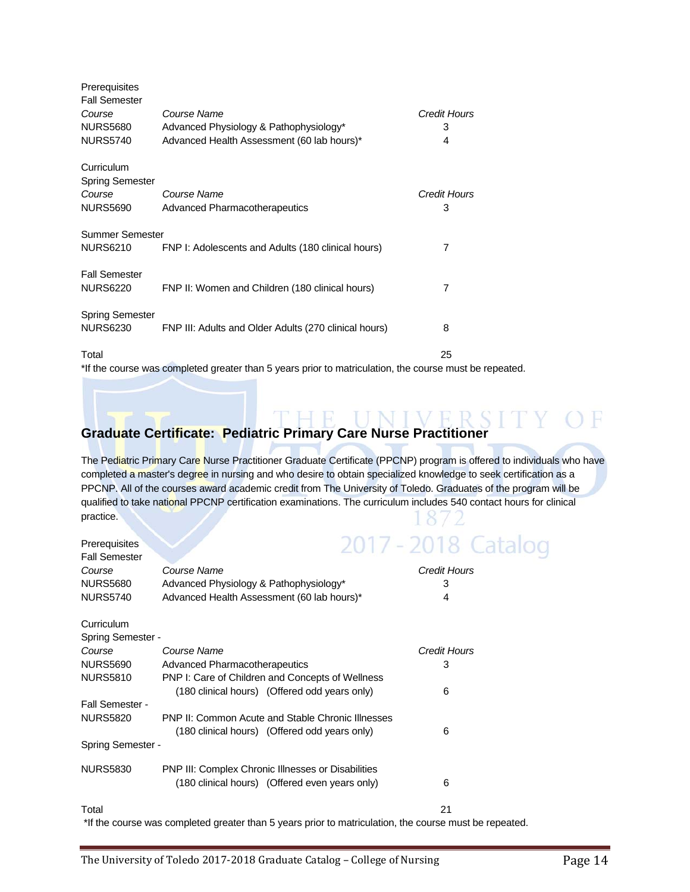| Prerequisites                        |                                                       |              |
|--------------------------------------|-------------------------------------------------------|--------------|
| <b>Fall Semester</b>                 |                                                       |              |
| Course                               | Course Name                                           | Credit Hours |
| <b>NURS5680</b>                      | Advanced Physiology & Pathophysiology*                | 3            |
| <b>NURS5740</b>                      | Advanced Health Assessment (60 lab hours)*            | 4            |
| Curriculum<br><b>Spring Semester</b> |                                                       |              |
| Course                               | Course Name                                           | Credit Hours |
| <b>NURS5690</b>                      | Advanced Pharmacotherapeutics                         | 3            |
| Summer Semester                      |                                                       |              |
| NURS6210                             | FNP I: Adolescents and Adults (180 clinical hours)    | 7            |
| <b>Fall Semester</b>                 |                                                       |              |
| <b>NURS6220</b>                      | FNP II: Women and Children (180 clinical hours)       | 7            |
| <b>Spring Semester</b>               |                                                       |              |
| NURS6230                             | FNP III: Adults and Older Adults (270 clinical hours) | 8            |
| Total                                |                                                       | 25           |
|                                      |                                                       |              |

\*If the course was completed greater than 5 years prior to matriculation, the course must be repeated.

# THE UNIVERSITY OF **Graduate Certificate: Pediatric Primary Care Nurse Practitioner**

**Prerequisites** Fall Semester

The Pediatric Primary Care Nurse Practitioner Graduate Certificate (PPCNP) program is offered to individuals who have completed a master's degree in nursing and who desire to obtain specialized knowledge to seek certification as a PPCNP. All of the courses award academic credit from The University of Toledo. Graduates of the program will be qualified to take national PPCNP certification examinations. The curriculum includes 540 contact hours for clinical practice.  $8/2$ 

| 2017 - 2018 Catalog |  |  |  |  |
|---------------------|--|--|--|--|
|                     |  |  |  |  |
|                     |  |  |  |  |
|                     |  |  |  |  |

| Course                   | Course Name                                        | Credit Hours |
|--------------------------|----------------------------------------------------|--------------|
| <b>NURS5680</b>          | Advanced Physiology & Pathophysiology*             | 3            |
| <b>NURS5740</b>          | Advanced Health Assessment (60 lab hours)*         | 4            |
| Curriculum               |                                                    |              |
| <b>Spring Semester -</b> |                                                    |              |
| Course                   | Course Name                                        | Credit Hours |
| <b>NURS5690</b>          | Advanced Pharmacotherapeutics                      | 3            |
| <b>NURS5810</b>          | PNP I: Care of Children and Concepts of Wellness   |              |
|                          | (180 clinical hours) (Offered odd years only)      | 6            |
| Fall Semester -          |                                                    |              |
| <b>NURS5820</b>          | PNP II: Common Acute and Stable Chronic Illnesses  |              |
|                          | (180 clinical hours) (Offered odd years only)      | 6            |
| Spring Semester -        |                                                    |              |
| <b>NURS5830</b>          | PNP III: Complex Chronic Illnesses or Disabilities |              |
|                          | (180 clinical hours) (Offered even years only)     | 6            |
| Total                    |                                                    | 21           |

\*If the course was completed greater than 5 years prior to matriculation, the course must be repeated.